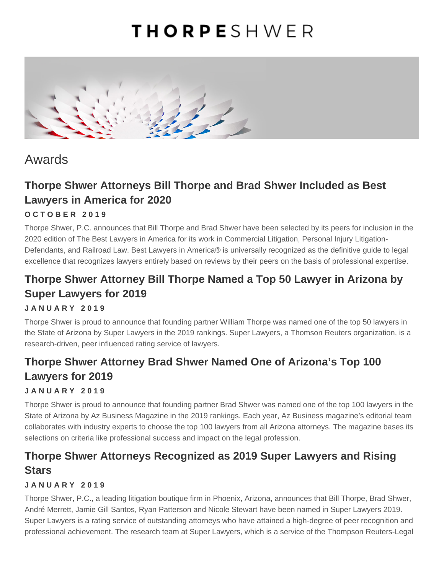# **THORPE**SHWER



# Awards

### **Thorpe Shwer Attorneys Bill Thorpe and Brad Shwer Included as Best Lawyers in America for 2020**

#### **OCTOBER 2019**

Thorpe Shwer, P.C. announces that Bill Thorpe and Brad Shwer have been selected by its peers for inclusion in the 2020 edition of The Best Lawyers in America for its work in Commercial Litigation, Personal Injury Litigation-Defendants, and Railroad Law. Best Lawyers in America® is universally recognized as the definitive guide to legal excellence that recognizes lawyers entirely based on reviews by their peers on the basis of professional expertise.

### **Thorpe Shwer Attorney Bill Thorpe Named a Top 50 Lawyer in Arizona by Super Lawyers for 2019**

#### **JANUARY 2019**

Thorpe Shwer is proud to announce that founding partner William Thorpe was named one of the top 50 lawyers in the State of Arizona by Super Lawyers in the 2019 rankings. Super Lawyers, a Thomson Reuters organization, is a research-driven, peer influenced rating service of lawyers.

### **Thorpe Shwer Attorney Brad Shwer Named One of Arizona's Top 100 Lawyers for 2019**

#### **JANUARY 2019**

Thorpe Shwer is proud to announce that founding partner Brad Shwer was named one of the top 100 lawyers in the State of Arizona by Az Business Magazine in the 2019 rankings. Each year, Az Business magazine's editorial team collaborates with industry experts to choose the top 100 lawyers from all Arizona attorneys. The magazine bases its selections on criteria like professional success and impact on the legal profession.

### **Thorpe Shwer Attorneys Recognized as 2019 Super Lawyers and Rising Stars**

#### **JANUARY 2019**

Thorpe Shwer, P.C., a leading litigation boutique firm in Phoenix, Arizona, announces that Bill Thorpe, Brad Shwer, André Merrett, Jamie Gill Santos, Ryan Patterson and Nicole Stewart have been named in Super Lawyers 2019. Super Lawyers is a rating service of outstanding attorneys who have attained a high-degree of peer recognition and professional achievement. The research team at Super Lawyers, which is a service of the Thompson Reuters-Legal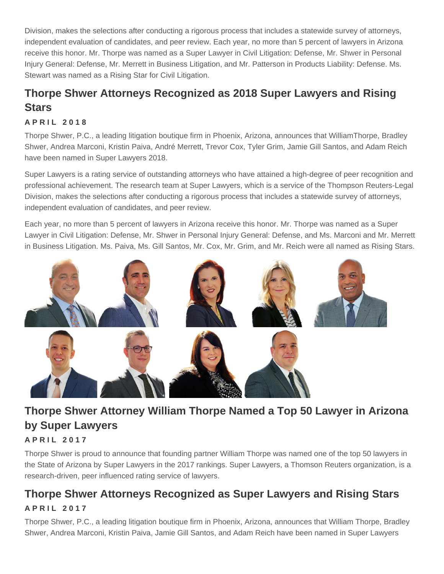Division, makes the selections after conducting a rigorous process that includes a statewide survey of attorneys, independent evaluation of candidates, and peer review. Each year, no more than 5 percent of lawyers in Arizona receive this honor. Mr. Thorpe was named as a Super Lawyer in Civil Litigation: Defense, Mr. Shwer in Personal Injury General: Defense, Mr. Merrett in Business Litigation, and Mr. Patterson in Products Liability: Defense. Ms. Stewart was named as a Rising Star for Civil Litigation.

### Thorpe Shwer Attorneys Recognized as 2018 Super Lawyers and Rising **Stars**

#### APRIL 2018

Thorpe Shwer, P.C., a leading litigation boutique firm in Phoenix, Arizona, announces that WilliamThorpe, Bradley Shwer, Andrea Marconi, Kristin Paiva, André Merrett, Trevor Cox, Tyler Grim, Jamie Gill Santos, and Adam Reich have been named in Super Lawyers 2018.

Super Lawyers is a rating service of outstanding attorneys who have attained a high-degree of peer recognition and professional achievement. The research team at Super Lawyers, which is a service of the Thompson Reuters-Legal Division, makes the selections after conducting a rigorous process that includes a statewide survey of attorneys, independent evaluation of candidates, and peer review.

Each year, no more than 5 percent of lawyers in Arizona receive this honor. Mr. Thorpe was named as a Super Lawyer in Civil Litigation: Defense, Mr. Shwer in Personal Injury General: Defense, and Ms. Marconi and Mr. Merrett in Business Litigation. Ms. Paiva, Ms. Gill Santos, Mr. Cox, Mr. Grim, and Mr. Reich were all named as Rising Stars.

### Thorpe Shwer Attorney William Thorpe Named a Top 50 Lawyer in Arizona by Super Lawyers

#### APRIL 2017

Thorpe Shwer is proud to announce that founding partner William Thorpe was named one of the top 50 lawyers in the State of Arizona by Super Lawyers in the 2017 rankings. Super Lawyers, a Thomson Reuters organization, is a research-driven, peer influenced rating service of lawyers.

### Thorpe Shwer Attorneys Recognized as Super Lawyers and Rising Stars

#### APRIL 2017

Thorpe Shwer, P.C., a leading litigation boutique firm in Phoenix, Arizona, announces that William Thorpe, Bradley Shwer, Andrea Marconi, Kristin Paiva, Jamie Gill Santos, and Adam Reich have been named in Super Lawyers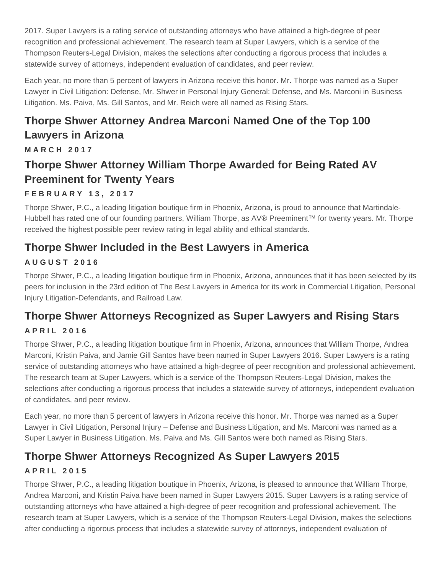2017. Super Lawyers is a rating service of outstanding attorneys who have attained a high-degree of peer recognition and professional achievement. The research team at Super Lawyers, which is a service of the Thompson Reuters-Legal Division, makes the selections after conducting a rigorous process that includes a statewide survey of attorneys, independent evaluation of candidates, and peer review.

Each year, no more than 5 percent of lawyers in Arizona receive this honor. Mr. Thorpe was named as a Super Lawyer in Civil Litigation: Defense, Mr. Shwer in Personal Injury General: Defense, and Ms. Marconi in Business Litigation. Ms. Paiva, Ms. Gill Santos, and Mr. Reich were all named as Rising Stars.

# **Thorpe Shwer Attorney Andrea Marconi Named One of the Top 100 Lawyers in Arizona**

**MARCH 2017**

### **Thorpe Shwer Attorney William Thorpe Awarded for Being Rated AV Preeminent for Twenty Years**

### **FEBRUARY 13, 2017**

Thorpe Shwer, P.C., a leading litigation boutique firm in Phoenix, Arizona, is proud to announce that Martindale-Hubbell has rated one of our founding partners, William Thorpe, as AV® Preeminent™ for twenty years. Mr. Thorpe received the highest possible peer review rating in legal ability and ethical standards.

### **Thorpe Shwer Included in the Best Lawyers in America**

### **AUGUST 2016**

Thorpe Shwer, P.C., a leading litigation boutique firm in Phoenix, Arizona, announces that it has been selected by its peers for inclusion in the 23rd edition of The Best Lawyers in America for its work in Commercial Litigation, Personal Injury Litigation-Defendants, and Railroad Law.

## **Thorpe Shwer Attorneys Recognized as Super Lawyers and Rising Stars**

### **APRIL 2016**

Thorpe Shwer, P.C., a leading litigation boutique firm in Phoenix, Arizona, announces that William Thorpe, Andrea Marconi, Kristin Paiva, and Jamie Gill Santos have been named in Super Lawyers 2016. Super Lawyers is a rating service of outstanding attorneys who have attained a high-degree of peer recognition and professional achievement. The research team at Super Lawyers, which is a service of the Thompson Reuters-Legal Division, makes the selections after conducting a rigorous process that includes a statewide survey of attorneys, independent evaluation of candidates, and peer review.

Each year, no more than 5 percent of lawyers in Arizona receive this honor. Mr. Thorpe was named as a Super Lawyer in Civil Litigation, Personal Injury – Defense and Business Litigation, and Ms. Marconi was named as a Super Lawyer in Business Litigation. Ms. Paiva and Ms. Gill Santos were both named as Rising Stars.

# **Thorpe Shwer Attorneys Recognized As Super Lawyers 2015**

### **APRIL 2015**

Thorpe Shwer, P.C., a leading litigation boutique in Phoenix, Arizona, is pleased to announce that William Thorpe, Andrea Marconi, and Kristin Paiva have been named in Super Lawyers 2015. Super Lawyers is a rating service of outstanding attorneys who have attained a high-degree of peer recognition and professional achievement. The research team at Super Lawyers, which is a service of the Thompson Reuters-Legal Division, makes the selections after conducting a rigorous process that includes a statewide survey of attorneys, independent evaluation of